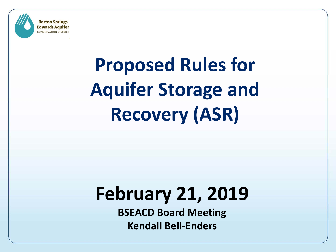

# **Proposed Rules for Aquifer Storage and Recovery (ASR)**

# **February 21, 2019**

**BSEACD Board Meeting Kendall Bell-Enders**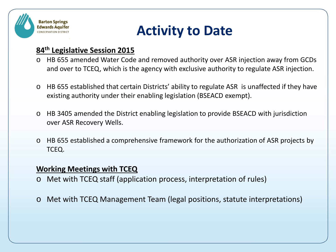

## **Activity to Date**

#### **84th Legislative Session 2015**

- o HB 655 amended Water Code and removed authority over ASR injection away from GCDs and over to TCEQ, which is the agency with exclusive authority to regulate ASR injection.
- o HB 655 established that certain Districts' ability to regulate ASR is unaffected if they have existing authority under their enabling legislation (BSEACD exempt).
- o HB 3405 amended the District enabling legislation to provide BSEACD with jurisdiction over ASR Recovery Wells.
- o HB 655 established a comprehensive framework for the authorization of ASR projects by TCEQ.

#### **Working Meetings with TCEQ**

- o Met with TCEQ staff (application process, interpretation of rules)
- o Met with TCEQ Management Team (legal positions, statute interpretations)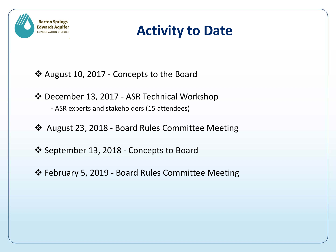

## **Activity to Date**

- August 10, 2017 Concepts to the Board
- December 13, 2017 ASR Technical Workshop - ASR experts and stakeholders (15 attendees)
- August 23, 2018 Board Rules Committee Meeting
- September 13, 2018 Concepts to Board
- February 5, 2019 Board Rules Committee Meeting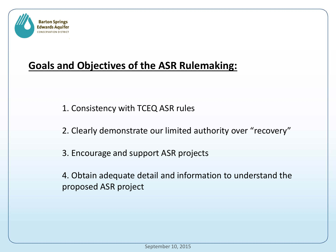

#### **Goals and Objectives of the ASR Rulemaking:**

- 1. Consistency with TCEQ ASR rules
- 2. Clearly demonstrate our limited authority over "recovery"
- 3. Encourage and support ASR projects
- 4. Obtain adequate detail and information to understand the proposed ASR project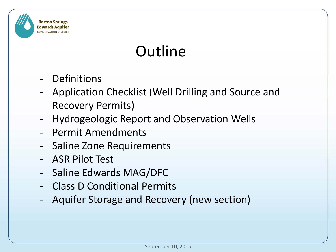

# **Outline**

- **Definitions**
- Application Checklist (Well Drilling and Source and Recovery Permits)
- Hydrogeologic Report and Observation Wells
- Permit Amendments
- Saline Zone Requirements
- ASR Pilot Test
- Saline Edwards MAG/DFC
- Class D Conditional Permits
- Aquifer Storage and Recovery (new section)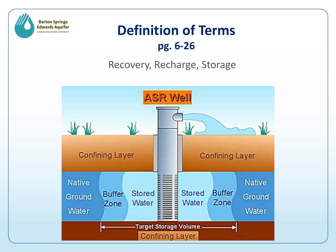

### **Definition of Terms pg. 6-26**

### Recovery, Recharge, Storage

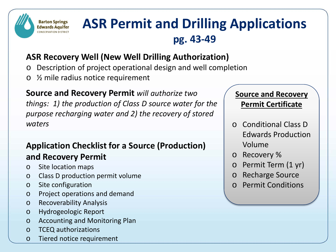

## **ASR Permit and Drilling Applications pg. 43-49**

#### **ASR Recovery Well (New Well Drilling Authorization)**

- Description of project operational design and well completion
- o ½ mile radius notice requirement

**Source and Recovery Permit** *will authorize two things: 1) the production of Class D source water for the purpose recharging water and 2) the recovery of stored waters*

#### **Application Checklist for a Source (Production) and Recovery Permit**

- o Site location maps
- o Class D production permit volume
- o Site configuration
- o Project operations and demand
- o Recoverability Analysis
- o Hydrogeologic Report
- o Accounting and Monitoring Plan
- o TCEQ authorizations
- o Tiered notice requirement

#### **Source and Recovery Permit Certificate**

- o Conditional Class D Edwards Production Volume
- o Recovery %
- Permit Term (1 yr)
- o Recharge Source
- o Permit Conditions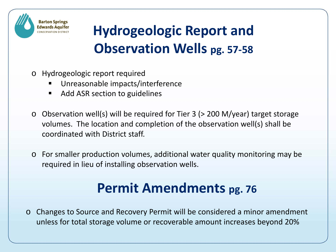

# **Hydrogeologic Report and Observation Wells pg. 57-58**

- o Hydrogeologic report required
	- Unreasonable impacts/interference
	- Add ASR section to guidelines
- o Observation well(s) will be required for Tier 3 (> 200 M/year) target storage volumes. The location and completion of the observation well(s) shall be coordinated with District staff.
- o For smaller production volumes, additional water quality monitoring may be required in lieu of installing observation wells.

# **Permit Amendments pg. 76**

o Changes to Source and Recovery Permit will be considered a minor amendment unless for total storage volume or recoverable amount increases beyond 20%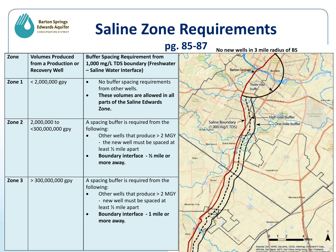# **Saline Zone Requirements**

**Barton Springs Edwards Aquifer CONSERVATION DISTRICT** 

**pg. 85-87 No new wells in 3 mile radius of BSZone Volumes Produced Buffer Spacing Requirement from 1,000 mg/L TDS boundary (Freshwater from a Production or – Saline Water Interface) Barton Springs Recovery Well** Austin **Zone 1** < 2,000,000 gpy  $\bullet$  No buffer spacing requirements Three mile from other wells. buffer • **These volumes are allowed in all parts of the Saline Edwards Zone.** Half mile buffer mit Airport A spacing buffer is required from the **Zone 2** 2,000,000 to Saline Boundary -One mile buffer (1,000 mg/L TDS) <300,000,000 gpy following: • Other wells that produce > 2 MGY - the new well must be spaced at least ½ mile apart • **Boundary interface - ½ mile or**  Hays **more away.**  $T620$ Creativor **Zone 3**  $\vert$  > 300,000,000 gpy  $\vert$  A spacing buffer is required from the following: • Other wells that produce > 2 MGY Mustang I - new well must be spaced at Mountain Cit least ½ mile apart • **Boundary interface - 1 mile or more away.**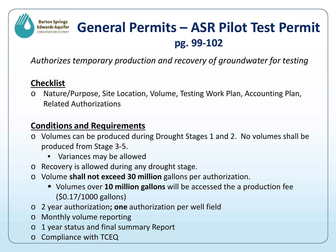#### **Barton Springs General Permits – ASR Pilot Test Permit Edwards Aquifer pg. 99-102**

*Authorizes temporary production and recovery of groundwater for testing*

#### **Checklist**

o Nature/Purpose, Site Location, Volume, Testing Work Plan, Accounting Plan, Related Authorizations

#### **Conditions and Requirements**

- o Volumes can be produced during Drought Stages 1 and 2. No volumes shall be produced from Stage 3-5.
	- Variances may be allowed
- o Recovery is allowed during any drought stage.
- o Volume **shall not exceed 30 million** gallons per authorization.
	- Volumes over **10 million gallons** will be accessed the a production fee (\$0.17/1000 gallons)
- o 2 year authorization**; one** authorization per well field
- o Monthly volume reporting
- o 1 year status and final summary Report
- o Compliance with TCEQ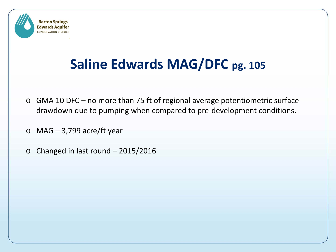

# **Saline Edwards MAG/DFC pg. 105**

- o GMA 10 DFC no more than 75 ft of regional average potentiometric surface drawdown due to pumping when compared to pre-development conditions.
- $\circ$  MAG 3,799 acre/ft year
- o Changed in last round 2015/2016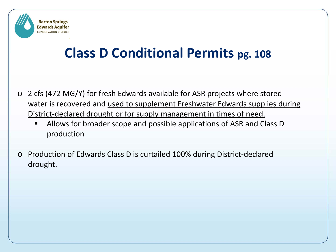

# **Class D Conditional Permits pg. 108**

- o 2 cfs (472 MG/Y) for fresh Edwards available for ASR projects where stored water is recovered and used to supplement Freshwater Edwards supplies during District-declared drought or for supply management in times of need.
	- Allows for broader scope and possible applications of ASR and Class D production
- Production of Edwards Class D is curtailed 100% during District-declared drought.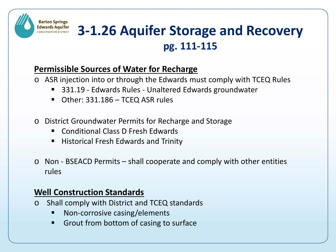## **3-1.26 Aquifer Storage and Recovery pg. 111-115**

#### **Permissible Sources of Water for Recharge**

- o ASR injection into or through the Edwards must comply with TCEQ Rules
	- 331.19 Edwards Rules Unaltered Edwards groundwater
	- Other: 331.186 TCEQ ASR rules
- o District Groundwater Permits for Recharge and Storage
	- Conditional Class D Fresh Edwards
	- Historical Fresh Edwards and Trinity
- o Non BSEACD Permits shall cooperate and comply with other entities rules

#### **Well Construction Standards**

**Barton Springs Edwards Aquifer CONSERVATION DISTRICT** 

- o Shall comply with District and TCEQ standards
	- Non-corrosive casing/elements
	- Grout from bottom of casing to surface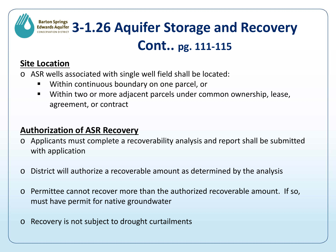

#### **Site Location**

- o ASR wells associated with single well field shall be located:
	- Within continuous boundary on one parcel, or
	- Within two or more adjacent parcels under common ownership, lease, agreement, or contract

#### **Authorization of ASR Recovery**

- o Applicants must complete a recoverability analysis and report shall be submitted with application
- o District will authorize a recoverable amount as determined by the analysis
- o Permittee cannot recover more than the authorized recoverable amount. If so, must have permit for native groundwater
- o Recovery is not subject to drought curtailments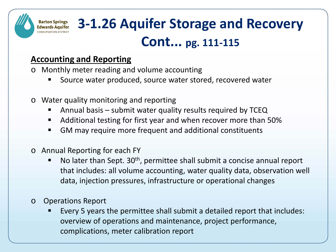#### **3-1.26 Aquifer Storage and Recovery Edwards Aquifer Cont... pg. 111-115**

#### **Accounting and Reporting**

**Barton Springs** 

**CONSERVATION DISTRICT** 

- o Monthly meter reading and volume accounting
	- Source water produced, source water stored, recovered water
- o Water quality monitoring and reporting
	- Annual basis submit water quality results required by TCEQ
	- Additional testing for first year and when recover more than 50%
	- GM may require more frequent and additional constituents
- o Annual Reporting for each FY
	- No later than Sept. 30<sup>th</sup>, permittee shall submit a concise annual report that includes: all volume accounting, water quality data, observation well data, injection pressures, infrastructure or operational changes
- o Operations Report
	- Every 5 years the permittee shall submit a detailed report that includes: overview of operations and maintenance, project performance, complications, meter calibration report